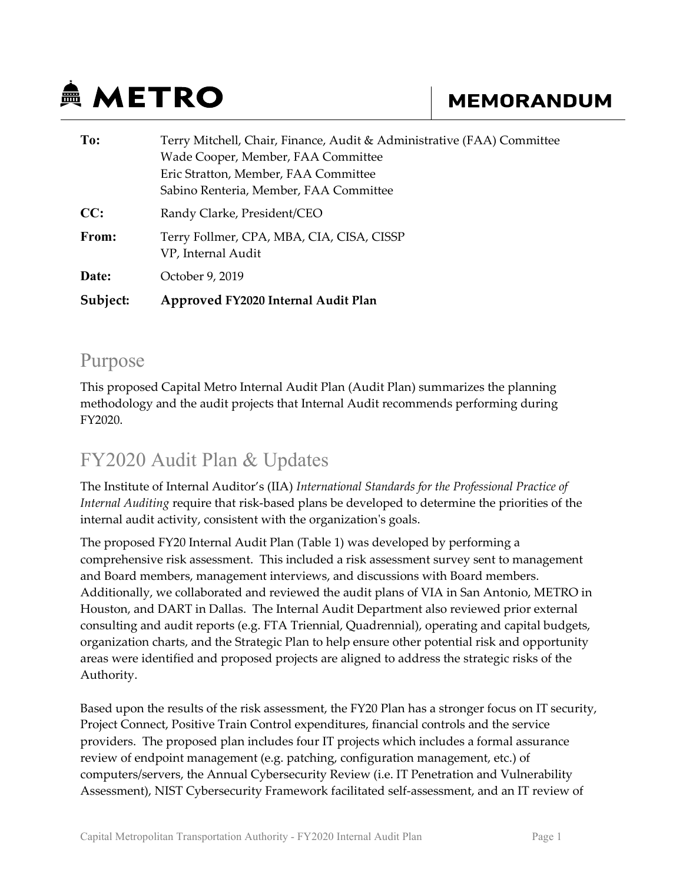# **鱼 METRO**

## **MEMORANDUM**

| To:      | Terry Mitchell, Chair, Finance, Audit & Administrative (FAA) Committee<br>Wade Cooper, Member, FAA Committee |  |  |  |  |
|----------|--------------------------------------------------------------------------------------------------------------|--|--|--|--|
|          | Eric Stratton, Member, FAA Committee                                                                         |  |  |  |  |
|          | Sabino Renteria, Member, FAA Committee                                                                       |  |  |  |  |
| CC:      | Randy Clarke, President/CEO                                                                                  |  |  |  |  |
| From:    | Terry Follmer, CPA, MBA, CIA, CISA, CISSP<br>VP, Internal Audit                                              |  |  |  |  |
| Date:    | October 9, 2019                                                                                              |  |  |  |  |
| Subject: | Approved FY2020 Internal Audit Plan                                                                          |  |  |  |  |

#### Purpose

This proposed Capital Metro Internal Audit Plan (Audit Plan) summarizes the planning methodology and the audit projects that Internal Audit recommends performing during FY2020.

### FY2020 Audit Plan & Updates

The Institute of Internal Auditor's (IIA) International Standards for the Professional Practice of Internal Auditing require that risk-based plans be developed to determine the priorities of the internal audit activity, consistent with the organization's goals.

The proposed FY20 Internal Audit Plan (Table 1) was developed by performing a comprehensive risk assessment. This included a risk assessment survey sent to management and Board members, management interviews, and discussions with Board members. Additionally, we collaborated and reviewed the audit plans of VIA in San Antonio, METRO in Houston, and DART in Dallas. The Internal Audit Department also reviewed prior external consulting and audit reports (e.g. FTA Triennial, Quadrennial), operating and capital budgets, organization charts, and the Strategic Plan to help ensure other potential risk and opportunity areas were identified and proposed projects are aligned to address the strategic risks of the Authority.

Based upon the results of the risk assessment, the FY20 Plan has a stronger focus on IT security, Project Connect, Positive Train Control expenditures, financial controls and the service providers. The proposed plan includes four IT projects which includes a formal assurance review of endpoint management (e.g. patching, configuration management, etc.) of computers/servers, the Annual Cybersecurity Review (i.e. IT Penetration and Vulnerability Assessment), NIST Cybersecurity Framework facilitated self-assessment, and an IT review of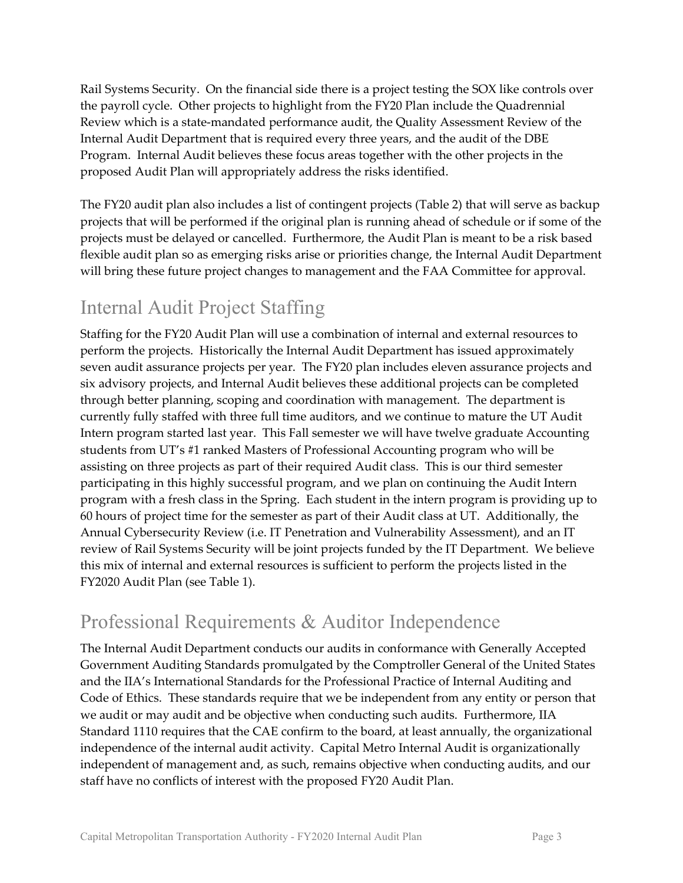Rail Systems Security. On the financial side there is a project testing the SOX like controls over the payroll cycle. Other projects to highlight from the FY20 Plan include the Quadrennial Review which is a state-mandated performance audit, the Quality Assessment Review of the Internal Audit Department that is required every three years, and the audit of the DBE Program. Internal Audit believes these focus areas together with the other projects in the proposed Audit Plan will appropriately address the risks identified.

The FY20 audit plan also includes a list of contingent projects (Table 2) that will serve as backup projects that will be performed if the original plan is running ahead of schedule or if some of the projects must be delayed or cancelled. Furthermore, the Audit Plan is meant to be a risk based flexible audit plan so as emerging risks arise or priorities change, the Internal Audit Department will bring these future project changes to management and the FAA Committee for approval.

### Internal Audit Project Staffing

Staffing for the FY20 Audit Plan will use a combination of internal and external resources to perform the projects. Historically the Internal Audit Department has issued approximately seven audit assurance projects per year. The FY20 plan includes eleven assurance projects and six advisory projects, and Internal Audit believes these additional projects can be completed through better planning, scoping and coordination with management. The department is currently fully staffed with three full time auditors, and we continue to mature the UT Audit Intern program started last year. This Fall semester we will have twelve graduate Accounting students from UT's #1 ranked Masters of Professional Accounting program who will be assisting on three projects as part of their required Audit class. This is our third semester participating in this highly successful program, and we plan on continuing the Audit Intern program with a fresh class in the Spring. Each student in the intern program is providing up to 60 hours of project time for the semester as part of their Audit class at UT. Additionally, the Annual Cybersecurity Review (i.e. IT Penetration and Vulnerability Assessment), and an IT review of Rail Systems Security will be joint projects funded by the IT Department. We believe this mix of internal and external resources is sufficient to perform the projects listed in the FY2020 Audit Plan (see Table 1).

### Professional Requirements & Auditor Independence

The Internal Audit Department conducts our audits in conformance with Generally Accepted Government Auditing Standards promulgated by the Comptroller General of the United States and the IIA's International Standards for the Professional Practice of Internal Auditing and Code of Ethics. These standards require that we be independent from any entity or person that we audit or may audit and be objective when conducting such audits. Furthermore, IIA Standard 1110 requires that the CAE confirm to the board, at least annually, the organizational independence of the internal audit activity. Capital Metro Internal Audit is organizationally independent of management and, as such, remains objective when conducting audits, and our staff have no conflicts of interest with the proposed FY20 Audit Plan.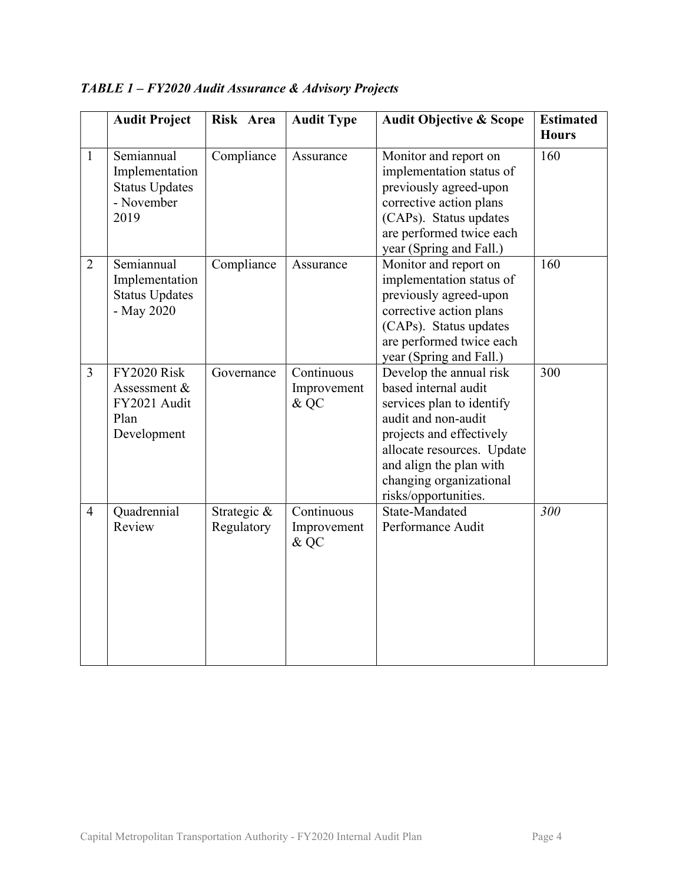|                | <b>Audit Project</b>                                                        | Risk Area                 | <b>Audit Type</b>                 | <b>Audit Objective &amp; Scope</b>                                                                                                                                                                                                          | <b>Estimated</b><br><b>Hours</b> |
|----------------|-----------------------------------------------------------------------------|---------------------------|-----------------------------------|---------------------------------------------------------------------------------------------------------------------------------------------------------------------------------------------------------------------------------------------|----------------------------------|
| $\mathbf{1}$   | Semiannual<br>Implementation<br><b>Status Updates</b><br>- November<br>2019 | Compliance                | Assurance                         | Monitor and report on<br>implementation status of<br>previously agreed-upon<br>corrective action plans<br>(CAPs). Status updates<br>are performed twice each<br>year (Spring and Fall.)                                                     | 160                              |
| $\overline{2}$ | Semiannual<br>Implementation<br><b>Status Updates</b><br>- May 2020         | Compliance                | Assurance                         | Monitor and report on<br>implementation status of<br>previously agreed-upon<br>corrective action plans<br>(CAPs). Status updates<br>are performed twice each<br>year (Spring and Fall.)                                                     | 160                              |
| $\overline{3}$ | <b>FY2020 Risk</b><br>Assessment &<br>FY2021 Audit<br>Plan<br>Development   | Governance                | Continuous<br>Improvement<br>& QC | Develop the annual risk<br>based internal audit<br>services plan to identify<br>audit and non-audit<br>projects and effectively<br>allocate resources. Update<br>and align the plan with<br>changing organizational<br>risks/opportunities. | 300                              |
| $\overline{4}$ | Quadrennial<br>Review                                                       | Strategic &<br>Regulatory | Continuous<br>Improvement<br>& QC | State-Mandated<br>Performance Audit                                                                                                                                                                                                         | 300                              |

TABLE 1 – FY2020 Audit Assurance & Advisory Projects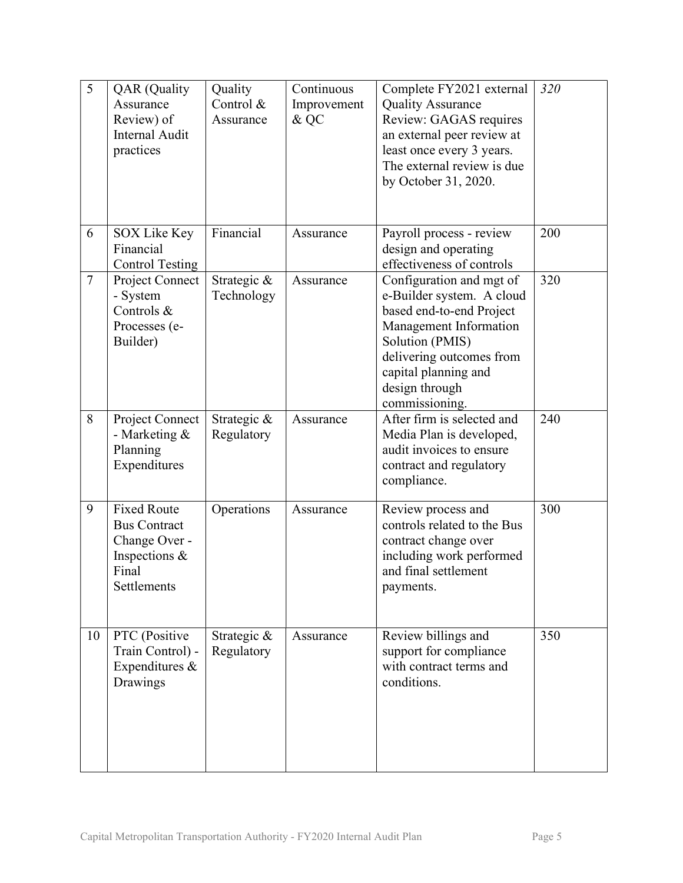| 5              | <b>QAR</b> (Quality<br>Assurance<br>Review) of<br><b>Internal Audit</b><br>practices                | Quality<br>Control &<br>Assurance | Continuous<br>Improvement<br>& QC | Complete FY2021 external<br><b>Quality Assurance</b><br>Review: GAGAS requires<br>an external peer review at<br>least once every 3 years.<br>The external review is due<br>by October 31, 2020.                        | 320 |
|----------------|-----------------------------------------------------------------------------------------------------|-----------------------------------|-----------------------------------|------------------------------------------------------------------------------------------------------------------------------------------------------------------------------------------------------------------------|-----|
| 6              | SOX Like Key<br>Financial<br><b>Control Testing</b>                                                 | Financial                         | Assurance                         | Payroll process - review<br>design and operating<br>effectiveness of controls                                                                                                                                          | 200 |
| $\overline{7}$ | Project Connect<br>- System<br>Controls &<br>Processes (e-<br>Builder)                              | Strategic &<br>Technology         | Assurance                         | Configuration and mgt of<br>e-Builder system. A cloud<br>based end-to-end Project<br>Management Information<br>Solution (PMIS)<br>delivering outcomes from<br>capital planning and<br>design through<br>commissioning. | 320 |
| 8              | Project Connect<br>- Marketing &<br>Planning<br>Expenditures                                        | Strategic &<br>Regulatory         | Assurance                         | After firm is selected and<br>Media Plan is developed,<br>audit invoices to ensure<br>contract and regulatory<br>compliance.                                                                                           | 240 |
| 9              | <b>Fixed Route</b><br><b>Bus Contract</b><br>Change Over -<br>Inspections &<br>Final<br>Settlements | Operations                        | Assurance                         | Review process and<br>controls related to the Bus<br>contract change over<br>including work performed<br>and final settlement<br>payments.                                                                             | 300 |
| 10             | PTC (Positive<br>Train Control) -<br>Expenditures &<br>Drawings                                     | Strategic &<br>Regulatory         | Assurance                         | Review billings and<br>support for compliance<br>with contract terms and<br>conditions.                                                                                                                                | 350 |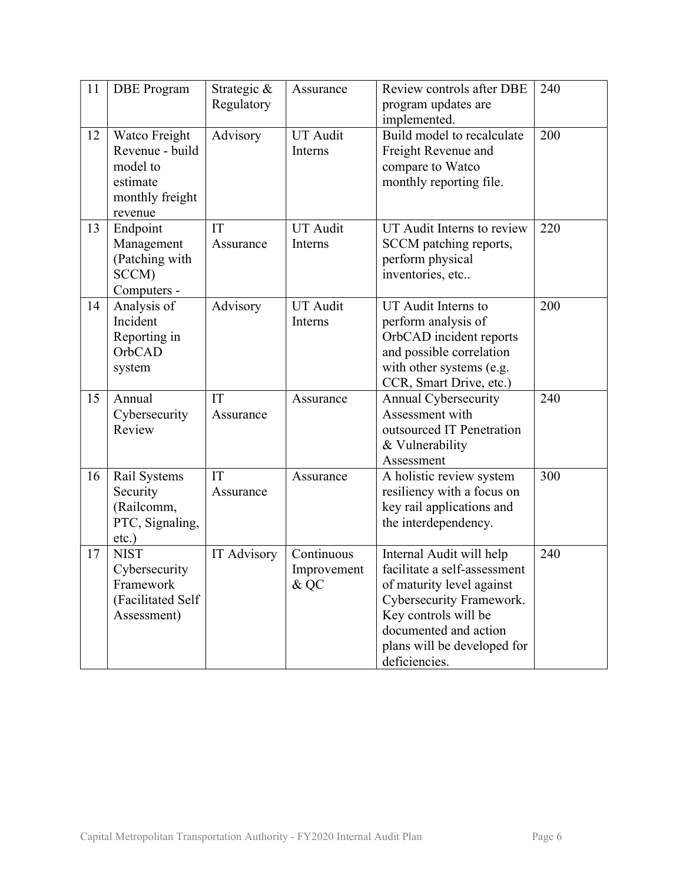| 11 | <b>DBE</b> Program                                                                     | Strategic &<br>Regulatory | Assurance                         | Review controls after DBE<br>program updates are<br>implemented.                                                                                                                                                   | 240 |
|----|----------------------------------------------------------------------------------------|---------------------------|-----------------------------------|--------------------------------------------------------------------------------------------------------------------------------------------------------------------------------------------------------------------|-----|
| 12 | Watco Freight<br>Revenue - build<br>model to<br>estimate<br>monthly freight<br>revenue | Advisory                  | <b>UT</b> Audit<br>Interns        | Build model to recalculate<br>Freight Revenue and<br>compare to Watco<br>monthly reporting file.                                                                                                                   | 200 |
| 13 | Endpoint<br>Management<br>(Patching with<br>SCCM)<br>Computers -                       | IT<br>Assurance           | <b>UT</b> Audit<br>Interns        | UT Audit Interns to review<br>SCCM patching reports,<br>perform physical<br>inventories, etc                                                                                                                       | 220 |
| 14 | Analysis of<br>Incident<br>Reporting in<br>OrbCAD<br>system                            | Advisory                  | <b>UT Audit</b><br>Interns        | UT Audit Interns to<br>perform analysis of<br>OrbCAD incident reports<br>and possible correlation<br>with other systems (e.g.<br>CCR, Smart Drive, etc.)                                                           | 200 |
| 15 | Annual<br>Cybersecurity<br>Review                                                      | IT<br>Assurance           | Assurance                         | Annual Cybersecurity<br>Assessment with<br>outsourced IT Penetration<br>& Vulnerability<br>Assessment                                                                                                              | 240 |
| 16 | Rail Systems<br>Security<br>(Railcomm,<br>PTC, Signaling,<br>$etc.$ )                  | IT<br>Assurance           | Assurance                         | A holistic review system<br>resiliency with a focus on<br>key rail applications and<br>the interdependency.                                                                                                        | 300 |
| 17 | <b>NIST</b><br>Cybersecurity<br>Framework<br>(Facilitated Self<br>Assessment)          | IT Advisory               | Continuous<br>Improvement<br>& QC | Internal Audit will help<br>facilitate a self-assessment<br>of maturity level against<br>Cybersecurity Framework.<br>Key controls will be<br>documented and action<br>plans will be developed for<br>deficiencies. | 240 |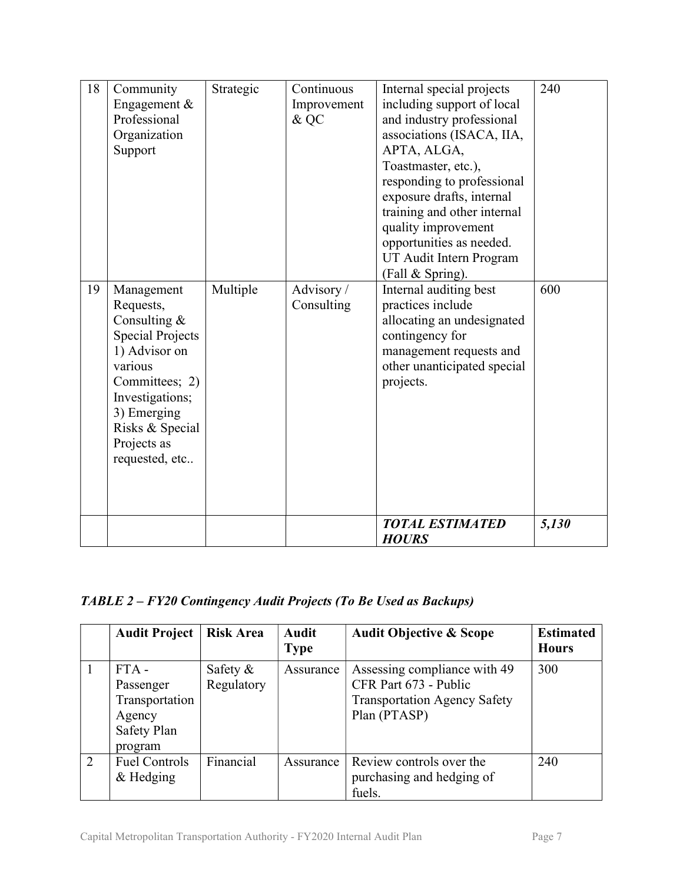| 18 | Community<br>Engagement &<br>Professional<br>Organization<br>Support                                                                                                                                     | Strategic | Continuous<br>Improvement<br>& QC | Internal special projects<br>including support of local<br>and industry professional<br>associations (ISACA, IIA,<br>APTA, ALGA,<br>Toastmaster, etc.),<br>responding to professional<br>exposure drafts, internal<br>training and other internal<br>quality improvement<br>opportunities as needed.<br>UT Audit Intern Program<br>(Fall & Spring). | 240   |
|----|----------------------------------------------------------------------------------------------------------------------------------------------------------------------------------------------------------|-----------|-----------------------------------|-----------------------------------------------------------------------------------------------------------------------------------------------------------------------------------------------------------------------------------------------------------------------------------------------------------------------------------------------------|-------|
| 19 | Management<br>Requests,<br>Consulting $&$<br><b>Special Projects</b><br>1) Advisor on<br>various<br>Committees; 2)<br>Investigations;<br>3) Emerging<br>Risks & Special<br>Projects as<br>requested, etc | Multiple  | Advisory/<br>Consulting           | Internal auditing best<br>practices include<br>allocating an undesignated<br>contingency for<br>management requests and<br>other unanticipated special<br>projects.                                                                                                                                                                                 | 600   |
|    |                                                                                                                                                                                                          |           |                                   | <b>TOTAL ESTIMATED</b><br><b>HOURS</b>                                                                                                                                                                                                                                                                                                              | 5,130 |

#### TABLE 2 – FY20 Contingency Audit Projects (To Be Used as Backups)

|   | <b>Audit Project</b>                                                       | <b>Risk Area</b>          | Audit<br><b>Type</b> | <b>Audit Objective &amp; Scope</b>                                                                           | <b>Estimated</b><br><b>Hours</b> |
|---|----------------------------------------------------------------------------|---------------------------|----------------------|--------------------------------------------------------------------------------------------------------------|----------------------------------|
|   | $FTA -$<br>Passenger<br>Transportation<br>Agency<br>Safety Plan<br>program | Safety $\&$<br>Regulatory | Assurance            | Assessing compliance with 49<br>CFR Part 673 - Public<br><b>Transportation Agency Safety</b><br>Plan (PTASP) | 300                              |
| 2 | <b>Fuel Controls</b><br>$&$ Hedging                                        | Financial                 | Assurance            | Review controls over the<br>purchasing and hedging of<br>fuels.                                              | 240                              |